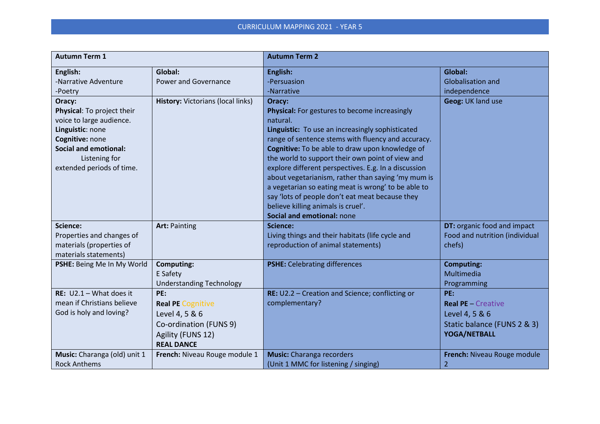| <b>Autumn Term 1</b>                                                                                                                                                                                                                 |                                                                                                                       | <b>Autumn Term 2</b>                                                                                                                                                                                                                                                                                                                                                                                                                                                                                                                                                                              |                                                                                                   |
|--------------------------------------------------------------------------------------------------------------------------------------------------------------------------------------------------------------------------------------|-----------------------------------------------------------------------------------------------------------------------|---------------------------------------------------------------------------------------------------------------------------------------------------------------------------------------------------------------------------------------------------------------------------------------------------------------------------------------------------------------------------------------------------------------------------------------------------------------------------------------------------------------------------------------------------------------------------------------------------|---------------------------------------------------------------------------------------------------|
| English:<br>-Narrative Adventure<br>-Poetry<br>Oracy:<br>Physical: To project their<br>voice to large audience.<br>Linguistic: none<br>Cognitive: none<br><b>Social and emotional:</b><br>Listening for<br>extended periods of time. | Global:<br><b>Power and Governance</b><br>History: Victorians (local links)                                           | English:<br><b>Persuasion</b><br>-Narrative<br>Oracy:<br>Physical: For gestures to become increasingly<br>natural.<br>Linguistic: To use an increasingly sophisticated<br>range of sentence stems with fluency and accuracy.<br>Cognitive: To be able to draw upon knowledge of<br>the world to support their own point of view and<br>explore different perspectives. E.g. In a discussion<br>about vegetarianism, rather than saying 'my mum is<br>a vegetarian so eating meat is wrong' to be able to<br>say 'lots of people don't eat meat because they<br>believe killing animals is cruel'. | Global:<br><b>Globalisation and</b><br>independence<br>Geog: UK land use                          |
| Science:<br>Properties and changes of<br>materials (properties of<br>materials statements)                                                                                                                                           | <b>Art: Painting</b>                                                                                                  | Social and emotional: none<br>Science:<br>Living things and their habitats (life cycle and<br>reproduction of animal statements)                                                                                                                                                                                                                                                                                                                                                                                                                                                                  | DT: organic food and impact<br>Food and nutrition (individual<br>chefs)                           |
| PSHE: Being Me In My World                                                                                                                                                                                                           | <b>Computing:</b><br>E Safety<br><b>Understanding Technology</b>                                                      | <b>PSHE:</b> Celebrating differences                                                                                                                                                                                                                                                                                                                                                                                                                                                                                                                                                              | <b>Computing:</b><br>Multimedia<br>Programming                                                    |
| RE: $U2.1 - What$ does it<br>mean if Christians believe<br>God is holy and loving?                                                                                                                                                   | PE:<br><b>Real PE Cognitive</b><br>Level 4, 5 & 6<br>Co-ordination (FUNS 9)<br>Agility (FUNS 12)<br><b>REAL DANCE</b> | RE: U2.2 - Creation and Science; conflicting or<br>complementary?                                                                                                                                                                                                                                                                                                                                                                                                                                                                                                                                 | PE:<br><b>Real PE</b> - Creative<br>Level 4, 5 & 6<br>Static balance (FUNS 2 & 3)<br>YOGA/NETBALL |
| Music: Charanga (old) unit 1<br><b>Rock Anthems</b>                                                                                                                                                                                  | French: Niveau Rouge module 1                                                                                         | <b>Music:</b> Charanga recorders<br>(Unit 1 MMC for listening / singing)                                                                                                                                                                                                                                                                                                                                                                                                                                                                                                                          | French: Niveau Rouge module<br>$\overline{2}$                                                     |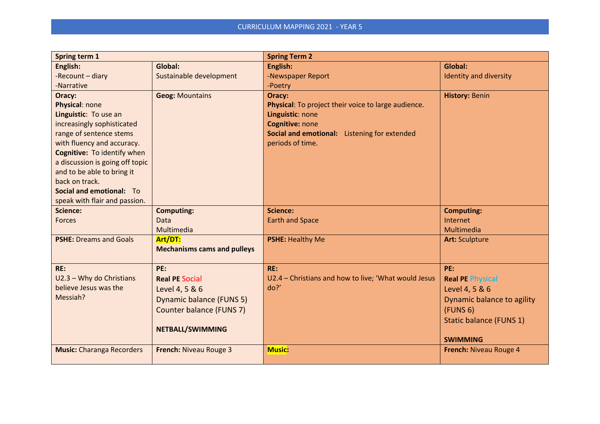| Spring term 1                    |                                    | <b>Spring Term 2</b>                                 |                            |
|----------------------------------|------------------------------------|------------------------------------------------------|----------------------------|
| English:                         | Global:                            | English:                                             | Global:                    |
| -Recount - diary                 | Sustainable development            | -Newspaper Report                                    | Identity and diversity     |
| -Narrative                       |                                    | -Poetry                                              |                            |
| Oracy:                           | <b>Geog: Mountains</b>             | Oracy:                                               | <b>History: Benin</b>      |
| Physical: none                   |                                    | Physical: To project their voice to large audience.  |                            |
| Linguistic: To use an            |                                    | Linguistic: none                                     |                            |
| increasingly sophisticated       |                                    | Cognitive: none                                      |                            |
| range of sentence stems          |                                    | Social and emotional: Listening for extended         |                            |
| with fluency and accuracy.       |                                    | periods of time.                                     |                            |
| Cognitive: To identify when      |                                    |                                                      |                            |
| a discussion is going off topic  |                                    |                                                      |                            |
| and to be able to bring it       |                                    |                                                      |                            |
| back on track.                   |                                    |                                                      |                            |
| Social and emotional: To         |                                    |                                                      |                            |
| speak with flair and passion.    |                                    |                                                      |                            |
| <b>Science:</b>                  | <b>Computing:</b>                  | Science:                                             | <b>Computing:</b>          |
| <b>Forces</b>                    | Data                               | <b>Earth and Space</b>                               | Internet                   |
|                                  | Multimedia                         |                                                      | Multimedia                 |
| <b>PSHE: Dreams and Goals</b>    | Art/DT:                            | <b>PSHE: Healthy Me</b>                              | <b>Art: Sculpture</b>      |
|                                  | <b>Mechanisms cams and pulleys</b> |                                                      |                            |
| RE:                              | PE:                                | RE:                                                  | PE:                        |
| U2.3 - Why do Christians         |                                    | U2.4 - Christians and how to live; 'What would Jesus |                            |
| believe Jesus was the            | <b>Real PE Social</b>              | do?                                                  | <b>Real PE Physical</b>    |
| Messiah?                         | Level 4, 5 & 6                     |                                                      | Level 4, 5 & 6             |
|                                  | <b>Dynamic balance (FUNS 5)</b>    |                                                      | Dynamic balance to agility |
|                                  | Counter balance (FUNS 7)           |                                                      | (FUNS 6)                   |
|                                  |                                    |                                                      | Static balance (FUNS 1)    |
|                                  | NETBALL/SWIMMING                   |                                                      |                            |
|                                  |                                    |                                                      | <b>SWIMMING</b>            |
| <b>Music: Charanga Recorders</b> | French: Niveau Rouge 3             | <b>Music:</b>                                        | French: Niveau Rouge 4     |
|                                  |                                    |                                                      |                            |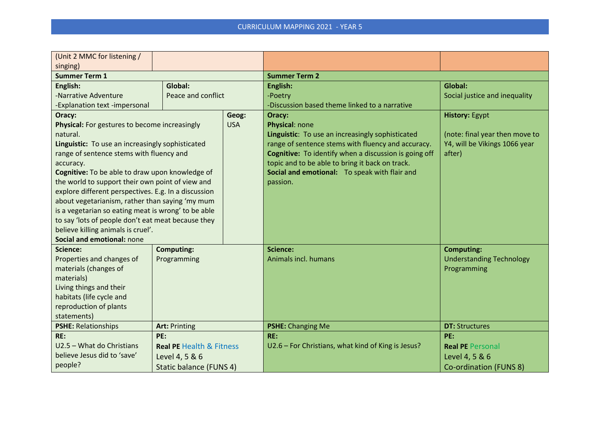| (Unit 2 MMC for listening /                                                                                                                                                                                                                                                                                                                                                                                                                                                                                                                                                         |                                                                                         |                     |                                                                                                                                                                                                                                                                                                             |                                                                                                    |  |
|-------------------------------------------------------------------------------------------------------------------------------------------------------------------------------------------------------------------------------------------------------------------------------------------------------------------------------------------------------------------------------------------------------------------------------------------------------------------------------------------------------------------------------------------------------------------------------------|-----------------------------------------------------------------------------------------|---------------------|-------------------------------------------------------------------------------------------------------------------------------------------------------------------------------------------------------------------------------------------------------------------------------------------------------------|----------------------------------------------------------------------------------------------------|--|
| singing)                                                                                                                                                                                                                                                                                                                                                                                                                                                                                                                                                                            |                                                                                         |                     |                                                                                                                                                                                                                                                                                                             |                                                                                                    |  |
| <b>Summer Term 1</b>                                                                                                                                                                                                                                                                                                                                                                                                                                                                                                                                                                |                                                                                         |                     | <b>Summer Term 2</b>                                                                                                                                                                                                                                                                                        |                                                                                                    |  |
| English:<br>-Narrative Adventure<br>-Explanation text -impersonal                                                                                                                                                                                                                                                                                                                                                                                                                                                                                                                   | Global:<br>Peace and conflict                                                           |                     | English:<br>-Poetry<br>-Discussion based theme linked to a narrative                                                                                                                                                                                                                                        | Global:<br>Social justice and inequality                                                           |  |
| Oracy:<br>Physical: For gestures to become increasingly<br>natural.<br>Linguistic: To use an increasingly sophisticated<br>range of sentence stems with fluency and<br>accuracy.<br>Cognitive: To be able to draw upon knowledge of<br>the world to support their own point of view and<br>explore different perspectives. E.g. In a discussion<br>about vegetarianism, rather than saying 'my mum<br>is a vegetarian so eating meat is wrong' to be able<br>to say 'lots of people don't eat meat because they<br>believe killing animals is cruel'.<br>Social and emotional: none |                                                                                         | Geog:<br><b>USA</b> | Oracy:<br>Physical: none<br>Linguistic: To use an increasingly sophisticated<br>range of sentence stems with fluency and accuracy.<br>Cognitive: To identify when a discussion is going off<br>topic and to be able to bring it back on track.<br>Social and emotional: To speak with flair and<br>passion. | <b>History: Egypt</b><br>(note: final year then move to<br>Y4, will be Vikings 1066 year<br>after) |  |
| Science:<br>Properties and changes of<br>materials (changes of<br>materials)<br>Living things and their<br>habitats (life cycle and<br>reproduction of plants<br>statements)                                                                                                                                                                                                                                                                                                                                                                                                        | <b>Computing:</b><br>Programming                                                        |                     | Science:<br>Animals incl. humans                                                                                                                                                                                                                                                                            | <b>Computing:</b><br><b>Understanding Technology</b><br>Programming                                |  |
| <b>PSHE: Relationships</b>                                                                                                                                                                                                                                                                                                                                                                                                                                                                                                                                                          | <b>Art: Printing</b>                                                                    |                     | <b>PSHE: Changing Me</b>                                                                                                                                                                                                                                                                                    | <b>DT: Structures</b>                                                                              |  |
| RE:<br>U2.5 - What do Christians<br>believe Jesus did to 'save'<br>people?                                                                                                                                                                                                                                                                                                                                                                                                                                                                                                          | PE:<br><b>Real PE Health &amp; Fitness</b><br>Level 4, 5 & 6<br>Static balance (FUNS 4) |                     | RE:<br>U2.6 - For Christians, what kind of King is Jesus?                                                                                                                                                                                                                                                   | PE:<br><b>Real PE Personal</b><br>Level 4, 5 & 6<br>Co-ordination (FUNS 8)                         |  |